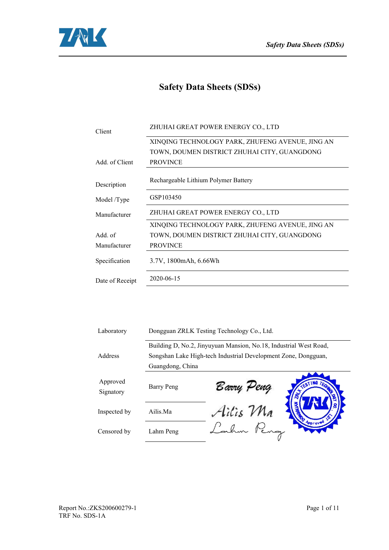

# **Safety Data Sheets (SDSs)**

| Client          | ZHUHAI GREAT POWER ENERGY CO., LTD               |
|-----------------|--------------------------------------------------|
|                 | XINQING TECHNOLOGY PARK, ZHUFENG AVENUE, JING AN |
|                 | TOWN, DOUMEN DISTRICT ZHUHAI CITY, GUANGDONG     |
| Add. of Client  | <b>PROVINCE</b>                                  |
| Description     | Rechargeable Lithium Polymer Battery             |
| Model /Type     | GSP103450                                        |
| Manufacturer    | ZHUHAI GREAT POWER ENERGY CO., LTD               |
|                 | XINQING TECHNOLOGY PARK, ZHUFENG AVENUE, JING AN |
| Add. of         | TOWN, DOUMEN DISTRICT ZHUHAI CITY, GUANGDONG     |
| Manufacturer    | <b>PROVINCE</b>                                  |
| Specification   | 3.7V, 1800mAh, 6.66Wh                            |
| Date of Receipt | 2020-06-15                                       |
|                 |                                                  |

| Laboratory            |                  | Dongguan ZRLK Testing Technology Co., Ltd.                        |
|-----------------------|------------------|-------------------------------------------------------------------|
|                       |                  | Building D, No.2, Jinyuyuan Mansion, No.18, Industrial West Road, |
| Address               |                  | Songshan Lake High-tech Industrial Development Zone, Dongguan,    |
|                       | Guangdong, China |                                                                   |
| Approved<br>Signatory | Barry Peng       | FESTING,<br>Barry Peng<br>TEQL                                    |
| Inspected by          | Ailis.Ma         | Ailis Ma                                                          |
| Censored by           | Lahm Peng        | Approved                                                          |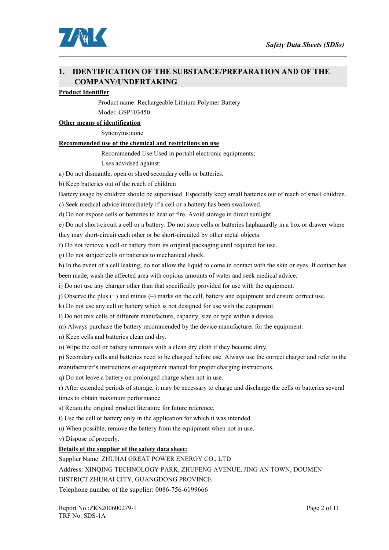

### **1. IDENTIFICATION OF THE SUBSTANCE/PREPARATION AND OF THE COMPANY/UNDERTAKING**

#### **Product Identifier**

Product name: Rechargeable Lithium Polymer Battery

Model: GSP103450

#### **Other** means of identification

Synonyms:none

#### **Recommended use of the chemical and restrictions on use**

Recommended Use:Used in portabl electronic equipments;

Uses advidsed against:

a) Do not dismantle, open or shred secondary cells or batteries.

b) Keep batteries out of the reach of children

Battery usage by children should be supervised. Especially keep small batteries out of reach of small children.

c) Seek medical advice immediately if a cell or a battery has been swallowed.

d) Do not expose cells orbatteries to heat or fire. Avoid storage in direct sunlight.

e) Do not short-circuit a cell or a battery. Do not store cells or batteries haphazardly in a box or drawer where they may short-circuit each other or be short-circuited by other metal objects.

f) Do not remove a cell or battery from its original packaging until required for use.

g) Do not subject cells or batteries to mechanical shock.

h) In the event of a cell leaking, do not allow the liquid to come in contact with the skin or eyes. If contact has

been made, wash the affected area with copious amounts of water and seek medical advice.

i) Do not use any charger other than that specifically provided for use with the equipment.

j) Observe the plus (+) and minus (–) marks on the cell, battery and equipment and ensure correct use.

k) Do not use any cell or battery which is not designed for use with the equipment.

l) Do not mix cells of different manufacture, capacity, size or type within a device.

m) Always purchase the battery recommended by the device manufacturer for the equipment.

n) Keep cells and batteries clean and dry.

o) Wipe the cell or battery terminals with a clean dry cloth if they become dirty.

p) Secondary cellsand batteries need to be charged before use. Always use the correct charger and refer to the manufacturer's instructions or equipment manual for proper charging instructions.

q) Do not leave a battery on prolonged charge when not in use.

r) After extended periods of storage, it may be necessary to charge and discharge the cells orbatteries several times to obtain maximum performance.

s) Retain the original product literature for future reference.

t) Use the cellor battery only in the application for which it was intended.

u) When possible, remove the battery from the equipment when not in use.

v) Dispose of properly.

#### **Details** of the supplier of the safety data sheet:

Supplier Name: ZHUHAI GREAT POWER ENERGY CO., LTD

Address: XINQING TECHNOLOGY PARK, ZHUFENG AVENUE, JING AN TOWN, DOUMEN

DISTRICT ZHUHAI CITY, GUANGDONG PROVINCE

Telephone number of the supplier: 0086-756-6199666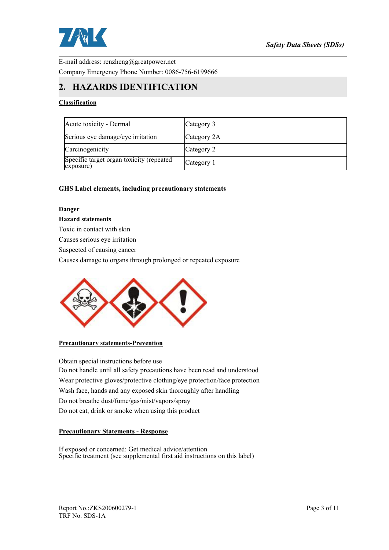

E-mail address: renzheng@greatpower.net Company Emergency Phone Number: 0086-756-6199666

### **2. HAZARDS IDENTIFICATION**

#### **Classification**

| Acute toxicity - Dermal                               | Category 3  |
|-------------------------------------------------------|-------------|
| Serious eye damage/eye irritation                     | Category 2A |
| Carcinogenicity                                       | Category 2  |
| Specific target organ toxicity (repeated<br>exposure) | Category 1  |

#### **GHS Label elements, including precautionary statements**

#### **Danger**

#### **Hazard statements**

Toxic in contact with skin

Causes serious eye irritation

Suspected of causing cancer

Causes damage to organs through prolonged or repeated exposure



#### **Precautionary statements-Prevention**

Obtain special instructions before use Do not handle until all safety precautions have been read and understood Wear protective gloves/protective clothing/eye protection/face protection Wash face, hands and any exposed skin thoroughly after handling Do not breathe dust/fume/gas/mist/vapors/spray Do not eat, drink or smoke when using this product

#### **Precautionary Statements - Response**

If exposed or concerned: Get medical advice/attention Specific treatment (see supplemental first aid instructions on this label)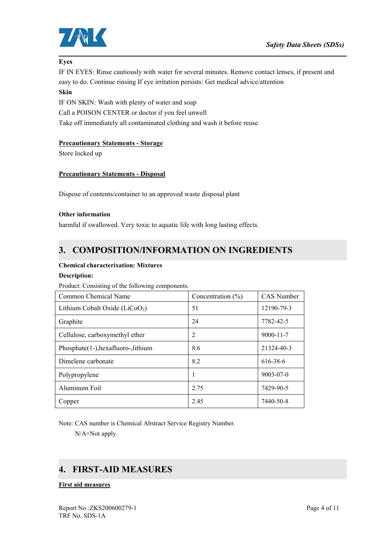

#### **Eyes**

IF IN EYES: Rinse cautiously with water for several minutes. Remove contactlenses, if present and easy to do. Continue rinsing If eye irritation persists: Get medical advice/attention

#### **Skin**

IF ON SKIN: Wash with plenty of water and soap Call a POISON CENTER or doctor if you feel unwell Take off immediately all contaminated clothing and wash it before reuse

#### **Precautionary Statements - Storage**

Store locked up

#### **Precautionary Statements - Disposal**

Dispose of contents/container to an approved waste disposal plant

#### **Other information**

harmful if swallowed. Very toxic to aquatic life with long lasting effects.

### **3. COMPOSITION/INFORMATION ON INGREDIENTS**

#### **Chemical characterixation: Mixtures**

#### **Description:**

Product: Consisting of the following components.

| Common Chemical Name                | Concentration $(\% )$ | <b>CAS</b> Number |  |
|-------------------------------------|-----------------------|-------------------|--|
| Lithium Cobalt Oxide ( $LiCoO2$ )   | 51                    | 12190-79-3        |  |
| Graphite                            | 24                    | 7782-42-5         |  |
| Cellulose, carboxymethyl ether      | 2                     | $9000 - 11 - 7$   |  |
| Phosphate(1-), hexafluoro-, lithium | 8.6                   | 21324-40-3        |  |
| Dimelene carbonate                  | 8.2                   | 616-38-6          |  |
| Polypropylene                       | 1                     | $9003 - 07 - 0$   |  |
| Aluminum Foil                       | 2.75                  | 7429-90-5         |  |
| Copper                              | 2.45                  | 7440-50-8         |  |

Note: CAS number is Chemical Abstract Service Registry Number.

N/A=Not apply.

### **4. FIRST-AID MEASURES**

#### **First aid measures**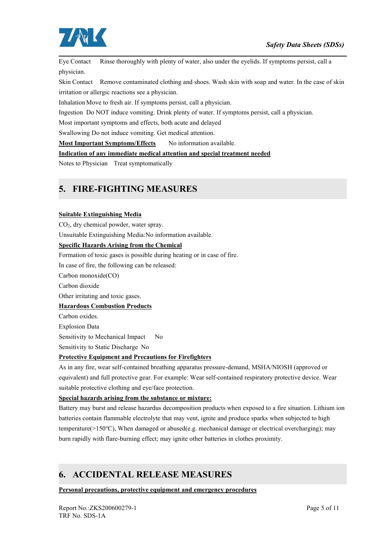

Eye Contact Rinse thoroughly with plenty of water, also under the eyelids. If symptoms persist, call a physician.

Skin Contact Remove contaminated clothing and shoes. Wash skin with soap and water. In the case of skin irritation or allergic reactions see a physician.

Inhalation Move to fresh air. If symptoms persist, call a physician.

Ingestion Do NOT induce vomiting. Drink plenty of water. If symptoms persist, call a physician.

Most important symptoms and effects, both acute and delayed

Swallowing Do not induce vomiting. Get medical attention.

**Most Important Symptoms/Effects** No information available.

#### **Indication of any immediate medical attention and special treatment needed**

Notes to Physician Treat symptomatically

### **5. FIRE-FIGHTING MEASURES**

#### **Suitable Extinguishing Media**

CO2, dry chemical powder, water spray.

Unsuitable Extinguishing Media:No information available.

#### **Specific Hazards Arising from the Chemical**

Formation of toxic gases is possible during heating or in case of fire.

In case of fire, the following can be released:

Carbon monoxide(CO)

Carbon dioxide

Other irritating and toxic gases.

#### **Hazardous Combustion Products**

Carbon oxides.

Explosion Data

Sensitivity to Mechanical Impact No

Sensitivity to Static Discharge No

#### **Protective Equipment and Precautions for Firefighters**

As in any fire, wear self-contained breathing apparatus pressure-demand, MSHA/NIOSH (approved or equivalent) and full protective gear. For example: Wear self-contained respiratory protective device. Wear suitable protective clothing and eye/face protection.

#### **Special hazards arising from the substance or mixture:**

Battery may burstand release hazardus decomposition products when exposed to a fire situation. Lithium ion batteries contain flammable electrolyte that may vent, ignite and produce sparks when subjected to high temperature(>150℃), When damaged or abused(e.g. mechanical damage or electrical overcharging); may burn rapidly with flare-burning effect; may ignite other batteries in clothes proximity.

### **6. ACCIDENTAL RELEASE MEASURES**

**Personal precautions, protective equipment and emergency procedures**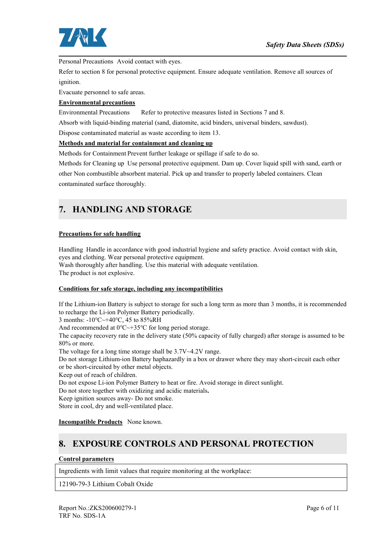

Personal Precautions Avoid contact with eyes.

Refer to section 8 for personal protective equipment. Ensure adequate ventilation. Remove all sources of ignition.

Evacuate personnel to safe areas.

#### **Environmental precautions**

Environmental Precautions Refer to protective measures listed in Sections 7 and 8.

Absorb with liquid-binding material (sand, diatomite, acid binders, universal binders, sawdust).

Dispose contaminated material as waste according to item 13.

#### **Methods and material for containment and cleaning up**

Methods for Containment Prevent further leakage or spillage if safe to do so.<br>Methods for Cleaning up Use personal protective equipment. Dam up. Cover liquid spill with sand, earth or other Non combustible absorbent material. Pick up and transfer to properly labeled containers. Clean contaminated surface thoroughly.

### **7. HANDLING AND STORAGE**

#### **Precautions for safe handling**

Handling Handle in accordance with good industrial hygiene and safety practice. Avoid contact with skin, eyes and clothing. Wear personal protective equipment. Wash thoroughly after handling. Use this material with adequate ventilation.

The product is not explosive.

#### **Conditions for safe storage, including any incompatibilities**

If the Lithium-ion Battery is subject to storage for such a long term as more than 3 months, it is recommended to recharge the Li-ion Polymer Battery periodically.

3 months: -10℃~+40℃, 45 to 85%RH

And recommended at 0℃~+35℃ for long period storage.

The capacity recovery rate in the delivery state (50% capacity of fully charged) after storage is assumed to be 80% or more.

The voltage for a long time storage shall be 3.7V~4.2V range.

Do not storage Lithium-ion Battery haphazardly in a box or drawer where they may short-circuit each other or be short-circuited by other metal objects.

Keep out of reach of children.

Do not expose Li-ion Polymer Battery to heat or fire. Avoid storage in direct sunlight.

Do not store together with oxidizing and acidic materials**.**

Keep ignition sources away- Do not smoke.

Store in cool, dry and well-ventilated place.

**Incompatible Products** None known.

## **8. EXPOSURE CONTROLS AND PERSONAL PROTECTION**

#### **Control parameters**

Ingredients with limit values that require monitoring at the workplace:

12190-79-3 Lithium Cobalt Oxide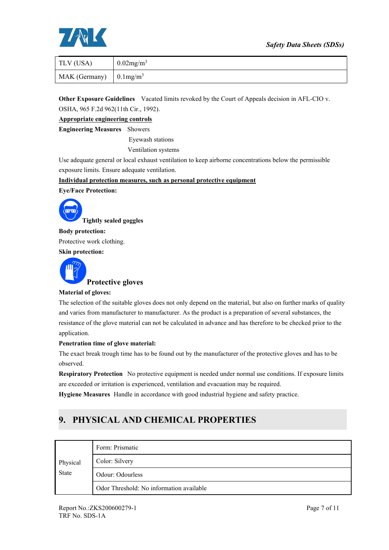#### *Safety Data Sheets (SDSs)*



| TLV (USA)                              | $0.02$ mg/m <sup>3</sup> |
|----------------------------------------|--------------------------|
| MAK (Germany) $\int 0.1 \text{mg/m}^3$ |                          |

**Other Exposure Guidelines** Vacated limits revoked by the Court of Appeals decision in AFL-CIO v. OSHA, 965 F.2d 962(11th Cir., 1992).

**Appropriate engineering controls**

**Engineering Measures** Showers

Eyewash stations

Ventilation systems

Use adequate general or local exhaust ventilation to keep airborne concentrations below the permissible exposure limits. Ensure adequate ventilation.

**Individual protection measures, such as personal protective equipment**

**Eye/Face Protection:**



**Body protection:** Protective work clothing. **Skin protection:**



**Protective gloves**

#### **Material of gloves:**

The selection of the suitable gloves does not only depend on the material, but also on further marks of quality and varies from manufacturer to manufacturer. As the product is a preparation of several substances, the resistance of the glove material can not be calculated in advance and has therefore to be checked prior to the application.

#### **Penetration timeof glove material:**

The exact break trough time has to be found out by the manufacturer of the protective gloves and has to be observed.

**Respiratory Protection** No protective equipment is needed under normal use conditions. If exposure limits are exceeded or irritation is experienced, ventilation and evacuation may be required.

**Hygiene Measures** Handle in accordance with good industrial hygiene and safety practice.

## **9. PHYSICAL AND CHEMICAL PROPERTIES**

|              | Form: Prismatic                          |
|--------------|------------------------------------------|
| Physical     | Color: Silvery                           |
| <b>State</b> | Odour: Odourless                         |
|              | Odor Threshold: No information available |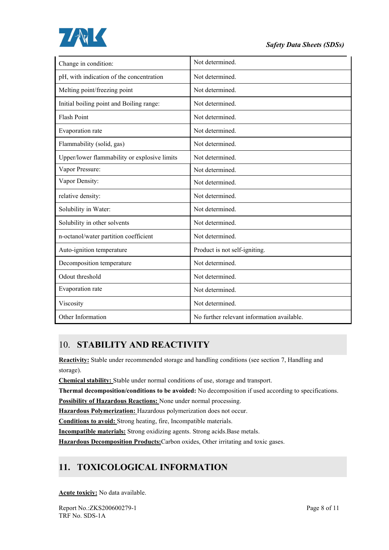

| Change in condition:                         | Not determined.                            |
|----------------------------------------------|--------------------------------------------|
| pH, with indication of the concentration     | Not determined.                            |
| Melting point/freezing point                 | Not determined.                            |
| Initial boiling point and Boiling range:     | Not determined.                            |
| <b>Flash Point</b>                           | Not determined.                            |
| Evaporation rate                             | Not determined.                            |
| Flammability (solid, gas)                    | Not determined.                            |
| Upper/lower flammability or explosive limits | Not determined.                            |
| Vapor Pressure:                              | Not determined.                            |
| Vapor Density:                               | Not determined.                            |
| relative density:                            | Not determined.                            |
| Solubility in Water:                         | Not determined.                            |
| Solubility in other solvents                 | Not determined.                            |
| n-octanol/water partition coefficient        | Not determined.                            |
| Auto-ignition temperature                    | Product is not self-igniting.              |
| Decomposition temperature                    | Not determined.                            |
| Odout threshold                              | Not determined.                            |
| Evaporation rate                             | Not determined.                            |
| Viscosity                                    | Not determined.                            |
| Other Information                            | No further relevant information available. |

## 10. **STABILITY AND REACTIVITY**

**Reactivity:** Stable under recommended storage and handling conditions (see section 7, Handling and storage).

**Chemical stability:** Stable under normal conditions of use, storage and transport.

**Thermal decomposition/conditions to be avoided:** No decomposition if used according to specifications.

**Possibility of Hazardous Reactions:** None under normal processing.

**Hazardous Polymerization:** Hazardous polymerization doesnot occur.

**Conditions to avoid:** Strong heating, fire, Incompatible materials.

**Incompatible materials:** Strong oxidizing agents. Strong acids.Base metals.

**Hazardous Decomposition Products:**Carbon oxides, Other irritating and toxic gases.

# **11. TOXICOLOGICAL INFORMATION**

**Acute toxiciy:** No data available.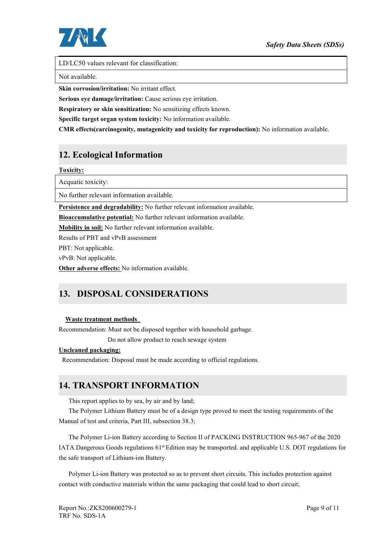

LD/LC50 values relevant for classification:

Not available.

**Skin corrosion/irritation:** No irritant effect.

**Serious eye damage/irritation:** Cause serious eye irritation.

**Respiratory or skin sensitization:** No sensitizing effects known.

**Specific target organ system toxicity:** No information available.

**CMR effects(carcinogenity, mutagenicity and toxicity for reproduction):** No information available.

### **12. Ecological Information**

**Toxicity:**

Acquatic toxicity:

No further relevant information available.

**Persistence and degradability:** No further relevant information available.

**Bioaccumulative potential:** No further relevant information available.

**Mobility in soil:**No further relevant information available.

Results of PBT and vPvB assessment

PBT: Not applicable.

vPvB: Not applicable.

**Other adverse effects:** No information available.

## **13. DISPOSAL CONSIDERATIONS**

#### **Waste treatment methods**

Recommendation: Must not be disposed together with household garbage.

Do not allow product to reach sewage system

#### **Uncleaned packaging:**

Recommendation: Disposal must be made according to official regulations.

### **14. TRANSPORT INFORMATION**

This report applies to by sea, by air and by land;

The Polymer Lithium Battery must be of a design type proved to meet the testing requirements of the Manual of test and criteria, Part III, subsection 38.3;

The Polymer Li-ion Battery according to Section II of PACKING INSTRUCTION 965-967 of the 2020 IATA Dangerous Goods regulations 61<sup>st</sup> Edition may be transported. and applicable U.S. DOT regulations for the safe transport of Lithium-ion Battery.

Polymer Li-ion Battery was protected so as to prevent short circuits. This includes protection against contact with conductive materials within the same packaging that could lead to short circuit;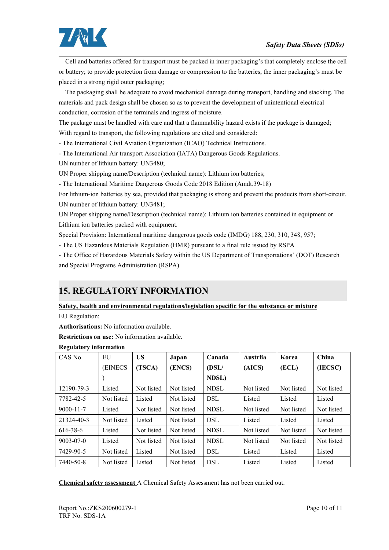

Cell and batteries offered for transport must be packed in inner packaging's that completely enclose the cell or battery; to provide protection from damage or compression to the batteries, the inner packaging's must be placed in a strong rigid outer packaging;

The packaging shall be adequate to avoid mechanical damage during transport, handling and stacking. The materials and pack design shall be chosen so as to prevent the development of unintentional electrical conduction, corrosion of the terminals and ingress of moisture.

The package must be handled with care and that a flammability hazard exists if the package is damaged; With regard to transport, the following regulations are cited and considered:

- The International Civil Aviation Organization (ICAO) Technical Instructions.

- The International Air transport Association (IATA) Dangerous Goods Regulations.

UN number of lithium battery: UN3480;

UN Proper shipping name/Description (technical name): Lithium ion batteries;

- The International Maritime Dangerous Goods Code 2018 Edition (Amdt.39-18)

For lithium-ion batteries by sea, provided that packaging is strong and prevent the products from short-circuit. UN number of lithium battery: UN3481;

UN Proper shipping name/Description (technical name): Lithium ion batteries contained in equipment or

Lithium ion batteries packed with equipment.<br>Special Provision: International maritime dangerous goods code (IMDG) 188, 230, 310, 348, 957;

- The US Hazardous Materials Regulation (HMR) pursuant to a final rule issued by RSPA

- The Office of Hazardous Materials Safety within the US Department of Transportations' (DOT) Research and Special Programs Administration (RSPA)

# **15. REGULATORY INFORMATION**

#### **Safety, health and environmental regulations/legislation specific for the substance or mixture**

EU Regulation:

**Authorisations:** No information available.

**Restrictions on use:** No information available.

| CAS No.         | EU         | <b>US</b>  | Japan      | Canada      | Austrlia   | Korea      | China      |
|-----------------|------------|------------|------------|-------------|------------|------------|------------|
|                 | (EINECS)   | (TSCA)     | (ENCS)     | (DSL/       | (AICS)     | (ECL)      | (IECSC)    |
|                 |            |            |            | NDSL)       |            |            |            |
| 12190-79-3      | Listed     | Not listed | Not listed | <b>NDSL</b> | Not listed | Not listed | Not listed |
| 7782-42-5       | Not listed | Listed     | Not listed | <b>DSL</b>  | Listed     | Listed     | Listed     |
| $9000 - 11 - 7$ | Listed     | Not listed | Not listed | <b>NDSL</b> | Not listed | Not listed | Not listed |
| 21324-40-3      | Not listed | Listed     | Not listed | <b>DSL</b>  | Listed     | Listed     | Listed     |
| 616-38-6        | Listed     | Not listed | Not listed | <b>NDSL</b> | Not listed | Not listed | Not listed |
| $9003 - 07 - 0$ | Listed     | Not listed | Not listed | <b>NDSL</b> | Not listed | Not listed | Not listed |
| 7429-90-5       | Not listed | Listed     | Not listed | <b>DSL</b>  | Listed     | Listed     | Listed     |
| 7440-50-8       | Not listed | Listed     | Not listed | <b>DSL</b>  | Listed     | Listed     | Listed     |

#### **Regulatory information**

**Chemical safety assessment** A Chemical Safety Assessment has not been carried out.